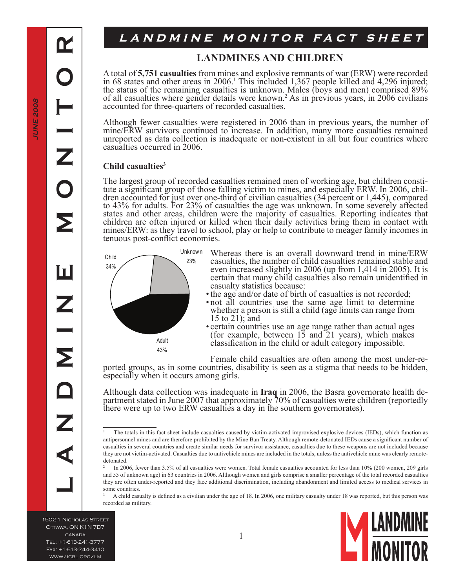# LANDMINE MONITOR FACT SHEET

### **LANDMINES AND CHILDREN**

A total of **5,751 casualties** from mines and explosive remnants of war (ERW) were recorded in 68 states and other areas in 2006. This included 1,367 people killed and 4,296 injured; the status of the remaining casualties is unknown. Males (boys and men) comprised 89% of all casualties where gender details were known.<sup>2</sup> As in previous years, in 2006 civilians accounted for three-quarters of recorded casualties.

Although fewer casualties were registered in 2006 than in previous years, the number of mine/ERW survivors continued to increase. In addition, many more casualties remained unreported as data collection is inadequate or non-existent in all but four countries where casualties occurred in 2006.

#### **Child casualties**

The largest group of recorded casualties remained men of working age, but children constitute a significant group of those falling victim to mines, and especially ERW. In 2006, children accounted for just over one-third of to 43% for adults. For 23% of casualties the age was unknown. In some severely affected states and other areas, children were the majority of casualties. Reporting indicates that children are often injured or killed when their daily activities bring them in contact with mines/ERW: as they travel to school, play or help to contribute to meager family incomes in tenuous post-conflict economies.



- Whereas there is an overall downward trend in mine/ERW casualties, the number of child casualties remained stable and even increased slightly in 2006 (up from 1,414 in 2005). It is certain that many child casualties also remain unidentified in casualty statistics because:
- the age and/or date of birth of casualties is not recorded;
- not all countries use the same age limit to determine whether a person is still a child (age limits can range from 15 to 21); and
- certain countries use an age range rather than actual ages (for example, between 15 and 21 years), which makes classification in the child or adult category impossible.

Female child casualties are often among the most under-re-<br>ported groups, as in some countries, disability is seen as a stigma that needs to be hidden, especially when it occurs among girls.

Although data collection was inadequate in **Iraq** in 2006, the Basra governorate health department stated in June 2007 that approximately 70% of casualties were children (reportedly there were up to two ERW casualties a day in the southern governorates).

<sup>3</sup> A child casualty is defined as a civilian under the age of 18. In 2006, one military casualty under 18 was reported, but this person was recorded as military.

1502-1 Nicholas Street Ottawa, ON K1N 7B7 canada Tel: +1-613-241-3777 Fax: +1-613-244-3410 www/icbl.org/lm



The totals in this fact sheet include casualties caused by victim-activated improvised explosive devices (IEDs), which function as antipersonnel mines and are therefore prohibited by the Mine Ban Treaty. Although remote-detonated IEDs cause a significant number of casualties in several countries and create similar needs for survivor assistance, casualties due to these weapons are not included because they are not victim-activated. Casualties due to antivehicle mines are included in the totals, unless the antivehicle mine was clearly remotedetonated.

<sup>2</sup> In 2006, fewer than 3.5% of all casualties were women. Total female casualties accounted for less than 10% (200 women, 209 girls and 55 of unknown age) in 63 countries in 2006. Although women and girls comprise a smaller percentage of the total recorded casualties they are often under-reported and they face additional discrimination, including abandonment and limited access to medical services in some countries.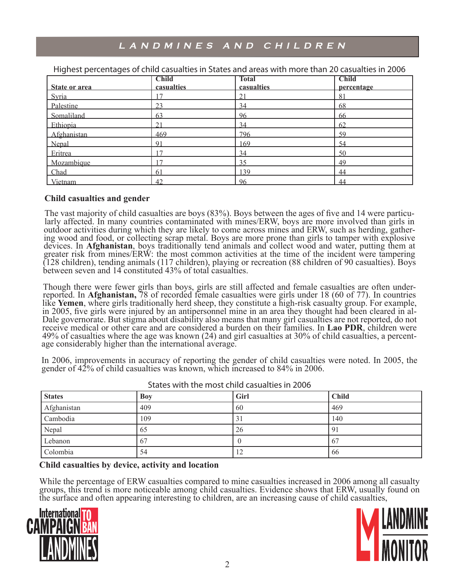## LANDMINES AND CHILDREN

| State or area | <b>Child</b><br>casualties | <b>Total</b><br>casualties | <b>Child</b><br>percentage |
|---------------|----------------------------|----------------------------|----------------------------|
| Syria         | 17                         | 21                         | 81                         |
| Palestine     | 23                         | 34                         | 68                         |
| Somaliland    | 63                         | 96                         | 66                         |
| Ethiopia      | $\bigcap$ 1                | 34                         | 62                         |
| Afghanistan   | 469                        | 796                        | 59                         |
| Nepal         | Q <sub>1</sub>             | 169                        | 54                         |
| Eritrea       | $\overline{7}$             | 34                         | 50                         |
| Mozambique    |                            | 35                         | 49                         |
| Chad          | -61                        | 139                        | 44                         |
| Vietnam       | 42                         | 96                         | 44                         |

Highest percentages of child casualties in States and areas with more than 20 casualties in 2006

#### **Child casualties and gender**

The vast majority of child casualties are boys (83%). Boys between the ages of five and 14 were particu- larly affected. In many countries contaminated with mines/ERW, boys are more involved than girls in outdoor activities during which they are likely to come across mines and ERW, such as herding, gather-<br>ing wood and food, or collecting scrap metal. Boys are more prone than girls to tamper with explosive devices. In **Afghanistan**, boys traditionally tend animals and collect wood and water, putting them at greater risk from mines/ERW: the most common activities at the time of the incident were tampering (128 children), tending animals (117 children), playing or recreation (88 children of 90 casualties). Boys between seven and 14 constituted 43% of total casualties.

Though there were fewer girls than boys, girls are still affected and female casualties are often underreported. In **Afghanistan,** 78 of recorded female casualties were girls under 18 (60 of 77). In countries like **Yemen**, where girls traditionally herd sheep, they constitute a high-risk casualty group. For example, in 2005, five girls were injured by an antipersonnel mine in an area they thought had been cleared in al-Dale governorate. But stigma about disability also means that many girl casualties are not reported, do not receive medical or other care and are considered a burden on their families. In **Lao PDR**, children were 49% of casualties where the age was known (24) and girl casualties at 30% of child casualties, a percent- age considerably higher than the international average.

In 2006, improvements in accuracy of reporting the gender of child casualties were noted. In 2005, the gender of 42% of child casualties was known, which increased to 84% in 2006.

| <b>States</b> | Boy | Girl             | <b>Child</b> |
|---------------|-----|------------------|--------------|
| Afghanistan   | 409 | 60               | 469          |
| Cambodia      | 109 | $\mathfrak{z}_1$ | 140          |
| Nepal         | 65  | 26               | 91           |
| Lebanon       | 67  |                  | 67           |
| Colombia      | 54  | $12^{-}$         | 66           |

States with the most child casualties in 2006

#### **Child casualties by device, activity and location**

While the percentage of ERW casualties compared to mine casualties increased in 2006 among all casualty groups, this trend is more noticeable among child casualties. Evidence shows that ERW, usually found on the surface and often appearing interesting to children, are an increasing cause of child casualties,